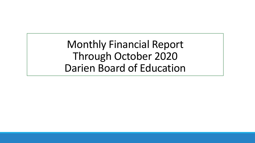Monthly Financial Report Through October 2020 Darien Board of Education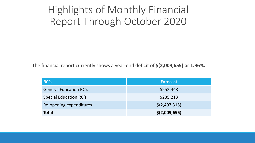# Highlights of Monthly Financial Report Through October 2020

The financial report currently shows a year-end deficit of **\$(2,009,655) or 1.96%.**

| RC's                          | <b>Forecast</b> |
|-------------------------------|-----------------|
| <b>General Education RC's</b> | \$252,448       |
| <b>Special Education RC's</b> | \$235,213       |
| Re-opening expenditures       | \$(2,497,315)   |
| <b>Total</b>                  | \$(2,009,655)   |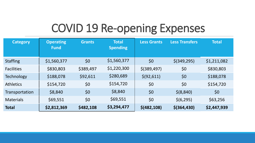# COVID 19 Re-opening Expenses

| <b>Category</b>   | <b>Operating</b><br><b>Fund</b> | <b>Grants</b> | <b>Total</b><br><b>Spending</b> | <b>Less Grants</b> | <b>Less Transfers</b> | <b>Total</b> |
|-------------------|---------------------------------|---------------|---------------------------------|--------------------|-----------------------|--------------|
| <b>Staffing</b>   | \$1,560,377                     | \$0\$         | \$1,560,377                     | \$0                | $$$ (349,295)         | \$1,211,082  |
| <b>Facilities</b> | \$830,803                       | \$389,497     | \$1,220,300                     | $$$ (389,497)      | \$0                   | \$830,803    |
| <b>Technology</b> | \$188,078                       | \$92,611      | \$280,689                       | \$ (92, 611)       | \$0                   | \$188,078    |
| <b>Athletics</b>  | \$154,720                       | \$0           | \$154,720                       | \$0                | \$0                   | \$154,720    |
| Transportation    | \$8,840                         | \$0           | \$8,840                         | \$0                | \$ (8, 840)           | \$0          |
| <b>Materials</b>  | \$69,551                        | \$0           | \$69,551                        | \$0                | \$(6, 295)            | \$63,256     |
| <b>Total</b>      | \$2,812,369                     | \$482,108     | \$3,294,477                     | \$ (482, 108)      | $$$ (364,430)         | \$2,447,939  |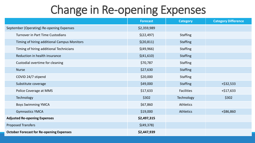# Change in Re-opening Expenses

|                                                 | <b>Forecast</b> | <b>Category</b>   | <b>Category Difference</b> |
|-------------------------------------------------|-----------------|-------------------|----------------------------|
| September (Operating) Re-opening Expenses       | \$2,359,989     |                   |                            |
| <b>Turnover in Part Time Custodians</b>         | \$(22, 497)     | <b>Staffing</b>   |                            |
| Timing of hiring additional Campus Monitors     | \$(20, 811)     | <b>Staffing</b>   |                            |
| Timing of hiring additional Technicians         | \$(49,966)      | <b>Staffing</b>   |                            |
| Reduction in health insurance                   | \$(41,610)      | <b>Staffing</b>   |                            |
| Custodial overtime for cleaning                 | \$70,787        | <b>Staffing</b>   |                            |
| <b>Nurse</b>                                    | \$27,630        | <b>Staffing</b>   |                            |
| COVID 24/7 stipend                              | \$20,000        | <b>Staffing</b>   |                            |
| Substitute coverage                             | \$49,000        | <b>Staffing</b>   | +\$32,533                  |
| Police Coverage at MMS                          | \$17,633        | <b>Facilities</b> | $+ $17,633$                |
| Technology                                      | \$302           | Technology        | \$302                      |
| <b>Boys Swimming YMCA</b>                       | \$67,860        | <b>Athletics</b>  |                            |
| <b>Gymnastics YMCA</b>                          | \$19,000        | <b>Athletics</b>  | +\$86,860                  |
| <b>Adjusted Re-opening Expenses</b>             | \$2,497,315     |                   |                            |
| <b>Proposed Transfers</b>                       | \$(49,378)      |                   |                            |
| <b>October Forecast for Re-opening Expenses</b> | \$2,447,939     |                   |                            |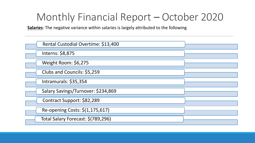**Salaries**: The negative variance within salaries is largely attributed to the following

| Rental Custodial Overtime: \$13,400 |  |
|-------------------------------------|--|
| Interns: \$8,875                    |  |
| Weight Room: \$6,275                |  |
| Clubs and Councils: \$5,259         |  |
| Intramurals: \$35,354               |  |
| Salary Savings/Turnover: \$234,869  |  |
| Contract Support: \$82,289          |  |
| Re-opening Costs: \$(1,175,617)     |  |
| Total Salary Forecast: \$(789,296)  |  |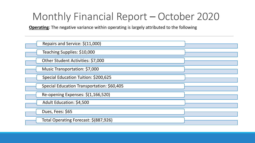**Operating**: The negative variance within operating is largely attributed to the following

| Repairs and Service: \$(11,000)            |  |
|--------------------------------------------|--|
| Teaching Supplies: \$10,000                |  |
| Other Student Activities: \$7,000          |  |
| Music Transportation: \$7,000              |  |
| Special Education Tuition: \$200,625       |  |
| Special Education Transportation: \$60,405 |  |
| Re-opening Expenses: \$(1,166,520)         |  |
| Adult Education: \$4,500                   |  |
| Dues, Fees: \$65                           |  |
| Total Operating Forecast: \$(887,926)      |  |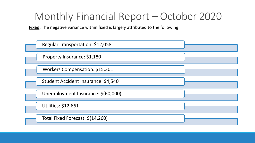**Fixed**: The negative variance within fixed is largely attributed to the following

| Regular Transportation: \$12,058    |  |
|-------------------------------------|--|
| Property Insurance: \$1,180         |  |
| Workers Compensation: \$15,301      |  |
| Student Accident Insurance: \$4,540 |  |
| Unemployment Insurance: \$(60,000)  |  |
| <b>Utilities: \$12,661</b>          |  |
| Total Fixed Forecast: \$(14,260)    |  |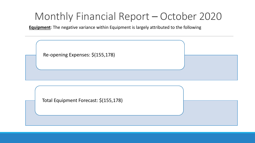**Equipment**: The negative variance within Equipment is largely attributed to the following

| Re-opening Expenses: \$(155,178)      |  |
|---------------------------------------|--|
| Total Equipment Forecast: \$(155,178) |  |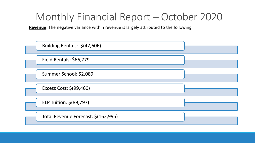**Revenue**: The negative variance within revenue is largely attributed to the following

| Building Rentals: \$(42,606)        |  |
|-------------------------------------|--|
| <b>Field Rentals: \$66,779</b>      |  |
| Summer School: \$2,089              |  |
| Excess Cost: \$(99,460)             |  |
| ELP Tuition: \$(89,797)             |  |
| Total Revenue Forecast: \$(162,995) |  |